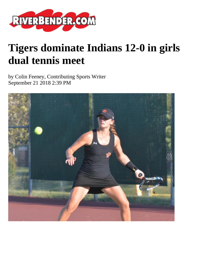

## **Tigers dominate Indians 12-0 in girls dual tennis meet**

by Colin Feeney, Contributing Sports Writer September 21 2018 2:39 PM

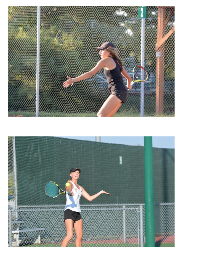

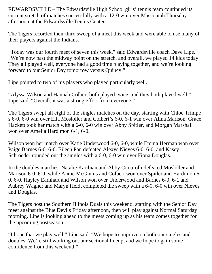EDWARDSVILLE – The Edwardsville High School girls' tennis team continued its current stretch of matches successfully with a 12-0 win over Mascoutah Thursday afternoon at the Edwardsville Tennis Center.

The Tigers recorded their third sweep of a meet this week and were able to use many of their players against the Indians.

"Today was our fourth meet of seven this week," said Edwardsville coach Dave Lipe. "We're now past the midway point on the stretch, and overall, we played 14 kids today. They all played well, everyone had a good time playing together, and we're looking forward to our Senior Day tomorrow versus Quincy."

Lipe pointed to two of his players who played particularly well.

"Alyssa Wilson and Hannah Colbert both played twice, and they both played well," Lipe said. "Overall, it was a strong effort from everyone."

The Tigers swept all eight of the singles matches on the day, starting with Chloe Trimpe' s 6-0, 6-0 win over Ella Mosloller and Colbert's 6-0, 6-1 win over Alina Marison. Grace Hackett took her match with a 6-0, 6-0 win over Abby Spitler, and Morgan Marshall won over Amelia Hardimon 6-1, 6-0.

Wilson won her match over Katie Underwood 6-0, 6-0, while Emma Herman won over Paige Barnes 6-0, 6-0. Eileen Pan defeated Alexys Nieves 6-0, 6-0, and Kasey Schroeder rounded out the singles with a 6-0, 6-0 win over Fiona Douglas.

In the doubles matches, Natalie Karibian and Abby Cimarolli defeated Mosloller and Marison 6-0, 6-0, while Annie McGinnis and Colbert won over Spitler and Hardimon 6- 0, 6-0. Hayley Earnhart and Wilson won over Underwood and Barnes 6-0, 6-1 and Aubrey Wagner and Maryn Heidt completed the sweep with a 6-0, 6-0 win over Nieves and Douglas.

The Tigers host the Southern Illinois Duals this weekend, starting with the Senior Day meet against the Blue Devils Friday afternoon, then will play against Normal Saturday morning. Lipe is looking ahead to the meets coming up as his team comes together for the upcoming postseason.

"I hope that we play well," Lipe said. "We hope to improve on both our singles and doubles. We're still working out our sectional lineup, and we hope to gain some confidence from this weekend."